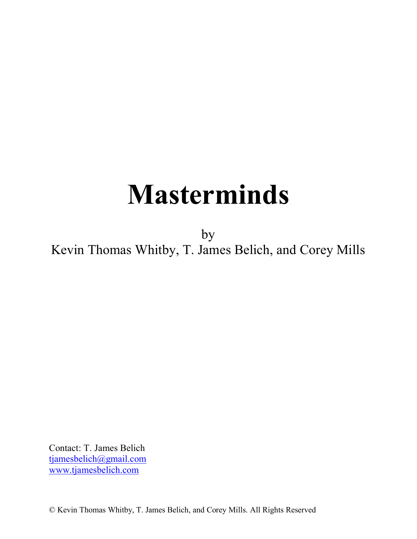# **Masterminds**

by Kevin Thomas Whitby, T. James Belich, and Corey Mills

Contact: T. James Belich tjamesbelich@gmail.com www.tjamesbelich.com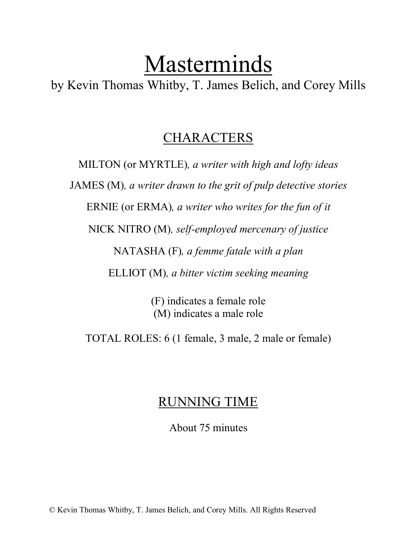# Masterminds

by Kevin Thomas Whitby, T. James Belich, and Corey Mills

# CHARACTERS

MILTON (or MYRTLE)*, a writer with high and lofty ideas* JAMES (M)*, a writer drawn to the grit of pulp detective stories* ERNIE (or ERMA)*, a writer who writes for the fun of it* NICK NITRO (M)*, self-employed mercenary of justice* NATASHA (F)*, a femme fatale with a plan* ELLIOT (M)*, a bitter victim seeking meaning*

> (F) indicates a female role (M) indicates a male role

TOTAL ROLES: 6 (1 female, 3 male, 2 male or female)

# RUNNING TIME

About 75 minutes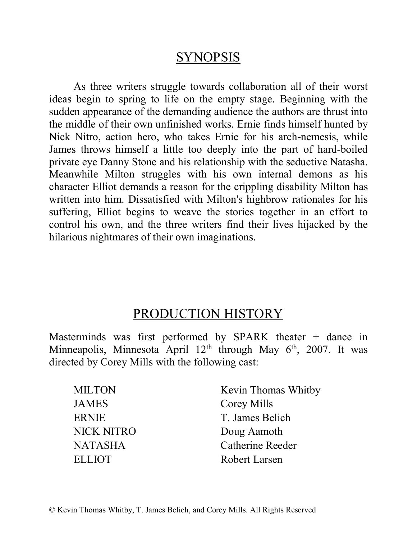# **SYNOPSIS**

As three writers struggle towards collaboration all of their worst ideas begin to spring to life on the empty stage. Beginning with the sudden appearance of the demanding audience the authors are thrust into the middle of their own unfinished works. Ernie finds himself hunted by Nick Nitro, action hero, who takes Ernie for his arch-nemesis, while James throws himself a little too deeply into the part of hard-boiled private eye Danny Stone and his relationship with the seductive Natasha. Meanwhile Milton struggles with his own internal demons as his character Elliot demands a reason for the crippling disability Milton has written into him. Dissatisfied with Milton's highbrow rationales for his suffering, Elliot begins to weave the stories together in an effort to control his own, and the three writers find their lives hijacked by the hilarious nightmares of their own imaginations.

# PRODUCTION HISTORY

Masterminds was first performed by SPARK theater + dance in Minneapolis, Minnesota April  $12<sup>th</sup>$  through May  $6<sup>th</sup>$ , 2007. It was directed by Corey Mills with the following cast:

| <b>MILTON</b>     | Kevin Thomas Whitby     |
|-------------------|-------------------------|
| <b>JAMES</b>      | Corey Mills             |
| <b>ERNIE</b>      | T. James Belich         |
| <b>NICK NITRO</b> | Doug Aamoth             |
| NATASHA           | <b>Catherine Reeder</b> |
| <b>ELLIOT</b>     | Robert Larsen           |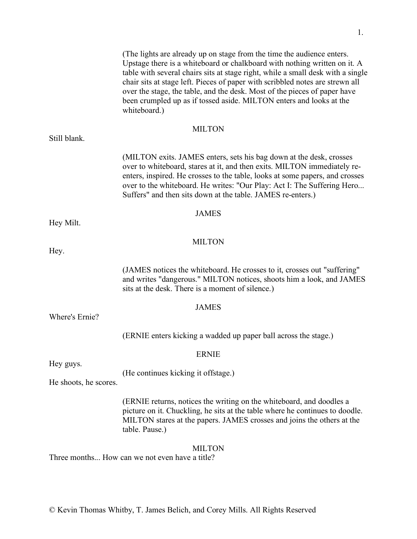1.

|                                                                 | (The lights are already up on stage from the time the audience enters.)<br>Upstage there is a whiteboard or chalkboard with nothing written on it. A<br>table with several chairs sits at stage right, while a small desk with a single<br>chair sits at stage left. Pieces of paper with scribbled notes are strewn all<br>over the stage, the table, and the desk. Most of the pieces of paper have<br>been crumpled up as if tossed aside. MILTON enters and looks at the<br>whiteboard.) |  |
|-----------------------------------------------------------------|----------------------------------------------------------------------------------------------------------------------------------------------------------------------------------------------------------------------------------------------------------------------------------------------------------------------------------------------------------------------------------------------------------------------------------------------------------------------------------------------|--|
|                                                                 | <b>MILTON</b>                                                                                                                                                                                                                                                                                                                                                                                                                                                                                |  |
| Still blank.                                                    |                                                                                                                                                                                                                                                                                                                                                                                                                                                                                              |  |
|                                                                 | (MILTON exits. JAMES enters, sets his bag down at the desk, crosses<br>over to whiteboard, stares at it, and then exits. MILTON immediately re-<br>enters, inspired. He crosses to the table, looks at some papers, and crosses<br>over to the whiteboard. He writes: "Our Play: Act I: The Suffering Hero<br>Suffers" and then sits down at the table. JAMES re-enters.)                                                                                                                    |  |
|                                                                 | <b>JAMES</b>                                                                                                                                                                                                                                                                                                                                                                                                                                                                                 |  |
| Hey Milt.                                                       |                                                                                                                                                                                                                                                                                                                                                                                                                                                                                              |  |
|                                                                 | <b>MILTON</b>                                                                                                                                                                                                                                                                                                                                                                                                                                                                                |  |
| Hey.                                                            |                                                                                                                                                                                                                                                                                                                                                                                                                                                                                              |  |
|                                                                 | (JAMES notices the whiteboard. He crosses to it, crosses out "suffering"<br>and writes "dangerous." MILTON notices, shoots him a look, and JAMES<br>sits at the desk. There is a moment of silence.)                                                                                                                                                                                                                                                                                         |  |
|                                                                 | <b>JAMES</b>                                                                                                                                                                                                                                                                                                                                                                                                                                                                                 |  |
| Where's Ernie?                                                  |                                                                                                                                                                                                                                                                                                                                                                                                                                                                                              |  |
|                                                                 | (ERNIE enters kicking a wadded up paper ball across the stage.)                                                                                                                                                                                                                                                                                                                                                                                                                              |  |
| <b>ERNIE</b>                                                    |                                                                                                                                                                                                                                                                                                                                                                                                                                                                                              |  |
| Hey guys.                                                       | (He continues kicking it offstage.)                                                                                                                                                                                                                                                                                                                                                                                                                                                          |  |
| He shoots, he scores.                                           |                                                                                                                                                                                                                                                                                                                                                                                                                                                                                              |  |
|                                                                 | (ERNIE returns, notices the writing on the whiteboard, and doodles a<br>picture on it. Chuckling, he sits at the table where he continues to doodle.<br>MILTON stares at the papers. JAMES crosses and joins the others at the<br>table. Pause.)                                                                                                                                                                                                                                             |  |
| <b>MILTON</b><br>Three months How can we not even have a title? |                                                                                                                                                                                                                                                                                                                                                                                                                                                                                              |  |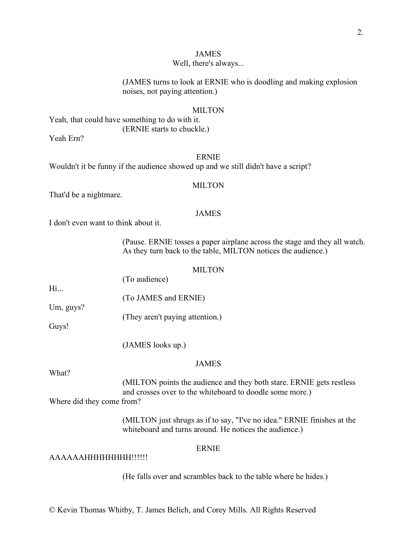#### Well, there's always...

(JAMES turns to look at ERNIE who is doodling and making explosion noises, not paying attention.)

#### MILTON

Yeah, that could have something to do with it. (ERNIE starts to chuckle.)

Yeah Ern?

#### ERNIE

Wouldn't it be funny if the audience showed up and we still didn't have a script?

#### MILTON

That'd be a nightmare.

#### JAMES

I don't even want to think about it.

(Pause. ERNIE tosses a paper airplane across the stage and they all watch. As they turn back to the table, MILTON notices the audience.)

#### **MILTON**

(To audience)

(To JAMES and ERNIE)

(They aren't paying attention.)

Guys!

Um, guys?

Hi...

(JAMES looks up.)

# JAMES

What?

(MILTON points the audience and they both stare. ERNIE gets restless and crosses over to the whiteboard to doodle some more.)

Where did they come from?

(MILTON just shrugs as if to say, "I've no idea." ERNIE finishes at the whiteboard and turns around. He notices the audience.)

# ERNIE

# AAAAAAHHHHHHHH!!!!!!

(He falls over and scrambles back to the table where he hides.)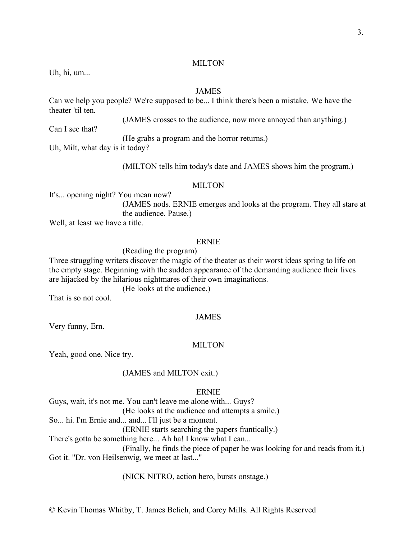#### **MILTON**

Uh, hi, um...

# JAMES

Can we help you people? We're supposed to be... I think there's been a mistake. We have the theater 'til ten.

(JAMES crosses to the audience, now more annoyed than anything.)

Can I see that?

(He grabs a program and the horror returns.)

Uh, Milt, what day is it today?

(MILTON tells him today's date and JAMES shows him the program.)

#### MILTON<sub>1</sub>

It's... opening night? You mean now? (JAMES nods. ERNIE emerges and looks at the program. They all stare at the audience. Pause.)

Well, at least we have a title.

#### ERNIE

(Reading the program)

Three struggling writers discover the magic of the theater as their worst ideas spring to life on the empty stage. Beginning with the sudden appearance of the demanding audience their lives are hijacked by the hilarious nightmares of their own imaginations.

(He looks at the audience.)

That is so not cool.

#### JAMES

Very funny, Ern.

#### **MILTON**

Yeah, good one. Nice try.

# (JAMES and MILTON exit.)

#### ERNIE

Guys, wait, it's not me. You can't leave me alone with... Guys? (He looks at the audience and attempts a smile.) So... hi. I'm Ernie and... and... I'll just be a moment. (ERNIE starts searching the papers frantically.) There's gotta be something here... Ah ha! I know what I can... (Finally, he finds the piece of paper he was looking for and reads from it.) Got it. "Dr. von Heilsenwig, we meet at last..."

(NICK NITRO, action hero, bursts onstage.)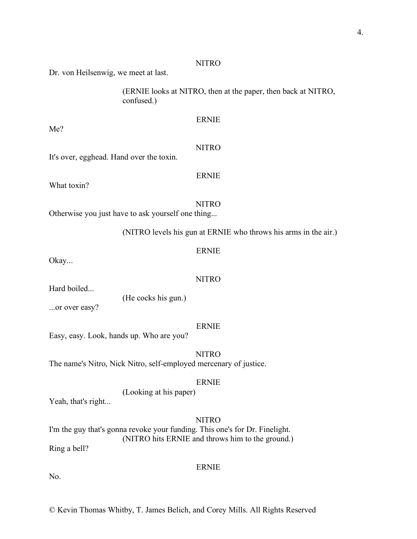#### NITRO

ERNIE

ERNIE

Dr. von Heilsenwig, we meet at last.

(ERNIE looks at NITRO, then at the paper, then back at NITRO, confused.)

| Me?                                      |              |
|------------------------------------------|--------------|
|                                          | <b>NITRO</b> |
| It's over, egghead. Hand over the toxin. |              |

What toxin?

**NITRO** Otherwise you just have to ask yourself one thing...

(NITRO levels his gun at ERNIE who throws his arms in the air.)

#### Okay...

Hard boiled...

**NITRO** 

(He cocks his gun.)

...or over easy?

#### ERNIE

ERNIE

Easy, easy. Look, hands up. Who are you?

NITRO The name's Nitro, Nick Nitro, self-employed mercenary of justice.

#### ERNIE

(Looking at his paper)

Yeah, that's right...

# **NITRO**

ERNIE

I'm the guy that's gonna revoke your funding. This one's for Dr. Finelight. (NITRO hits ERNIE and throws him to the ground.) Ring a bell?

No.

© Kevin Thomas Whitby, T. James Belich, and Corey Mills. All Rights Reserved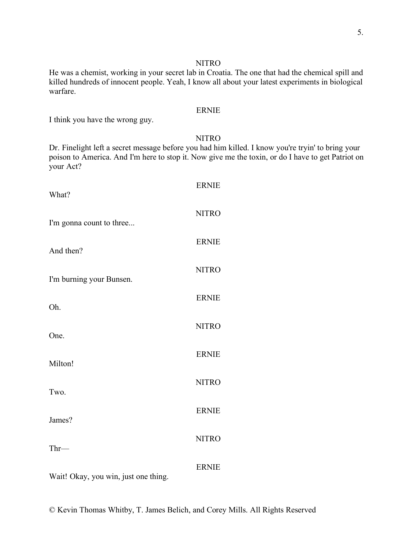#### NITRO

He was a chemist, working in your secret lab in Croatia. The one that had the chemical spill and killed hundreds of innocent people. Yeah, I know all about your latest experiments in biological warfare.

# ERNIE

I think you have the wrong guy.

# NITRO

Dr. Finelight left a secret message before you had him killed. I know you're tryin' to bring your poison to America. And I'm here to stop it. Now give me the toxin, or do I have to get Patriot on your Act?

| What?                                                                                                                                                        | <b>ERNIE</b> |
|--------------------------------------------------------------------------------------------------------------------------------------------------------------|--------------|
| I'm gonna count to three                                                                                                                                     | <b>NITRO</b> |
| And then?                                                                                                                                                    | <b>ERNIE</b> |
| I'm burning your Bunsen.                                                                                                                                     | <b>NITRO</b> |
| Oh.                                                                                                                                                          | <b>ERNIE</b> |
| One.                                                                                                                                                         | <b>NITRO</b> |
| Milton!                                                                                                                                                      | <b>ERNIE</b> |
| Two.                                                                                                                                                         | <b>NITRO</b> |
| James?                                                                                                                                                       | <b>ERNIE</b> |
| Thr-                                                                                                                                                         | <b>NITRO</b> |
| the contract of the contract of the contract of the contract of the contract of the contract of the contract of<br>$TT^{\dagger}$ $\left( \bigcap_{i=1}^{n}$ | <b>ERNIE</b> |

Wait! Okay, you win, just one thing.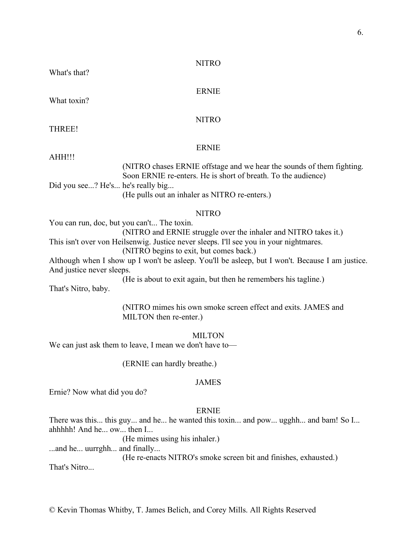# NITRO

What's that?

# ERNIE

What toxin?

NITRO

THREE!

# ERNIE

AHH!!!

(NITRO chases ERNIE offstage and we hear the sounds of them fighting. Soon ERNIE re-enters. He is short of breath. To the audience)

Did you see...? He's... he's really big...

(He pulls out an inhaler as NITRO re-enters.)

#### NITRO

You can run, doc, but you can't... The toxin.

(NITRO and ERNIE struggle over the inhaler and NITRO takes it.)

This isn't over von Heilsenwig. Justice never sleeps. I'll see you in your nightmares.

(NITRO begins to exit, but comes back.)

Although when I show up I won't be asleep. You'll be asleep, but I won't. Because I am justice. And justice never sleeps.

(He is about to exit again, but then he remembers his tagline.)

That's Nitro, baby.

(NITRO mimes his own smoke screen effect and exits. JAMES and MILTON then re-enter.)

MILTON

We can just ask them to leave, I mean we don't have to—

(ERNIE can hardly breathe.)

# JAMES

Ernie? Now what did you do?

#### ERNIE

There was this... this guy... and he... he wanted this toxin... and pow... ugghh... and bam! So I... ahhhhh! And he... ow... then I...

(He mimes using his inhaler.)

...and he... uurrghh... and finally...

(He re-enacts NITRO's smoke screen bit and finishes, exhausted.)

That's Nitro...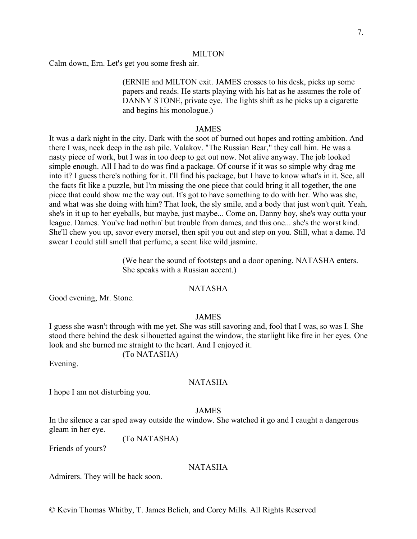#### MILTON

Calm down, Ern. Let's get you some fresh air.

(ERNIE and MILTON exit. JAMES crosses to his desk, picks up some papers and reads. He starts playing with his hat as he assumes the role of DANNY STONE, private eye. The lights shift as he picks up a cigarette and begins his monologue.)

#### JAMES

It was a dark night in the city. Dark with the soot of burned out hopes and rotting ambition. And there I was, neck deep in the ash pile. Valakov. "The Russian Bear," they call him. He was a nasty piece of work, but I was in too deep to get out now. Not alive anyway. The job looked simple enough. All I had to do was find a package. Of course if it was so simple why drag me into it? I guess there's nothing for it. I'll find his package, but I have to know what's in it. See, all the facts fit like a puzzle, but I'm missing the one piece that could bring it all together, the one piece that could show me the way out. It's got to have something to do with her. Who was she, and what was she doing with him? That look, the sly smile, and a body that just won't quit. Yeah, she's in it up to her eyeballs, but maybe, just maybe... Come on, Danny boy, she's way outta your league. Dames. You've had nothin' but trouble from dames, and this one... she's the worst kind. She'll chew you up, savor every morsel, then spit you out and step on you. Still, what a dame. I'd swear I could still smell that perfume, a scent like wild jasmine.

> (We hear the sound of footsteps and a door opening. NATASHA enters. She speaks with a Russian accent.)

# NATASHA

Good evening, Mr. Stone.

#### JAMES

I guess she wasn't through with me yet. She was still savoring and, fool that I was, so was I. She stood there behind the desk silhouetted against the window, the starlight like fire in her eyes. One look and she burned me straight to the heart. And I enjoyed it.

(To NATASHA)

Evening.

# NATASHA

I hope I am not disturbing you.

#### JAMES

In the silence a car sped away outside the window. She watched it go and I caught a dangerous gleam in her eye.

(To NATASHA)

Friends of yours?

#### NATASHA

Admirers. They will be back soon.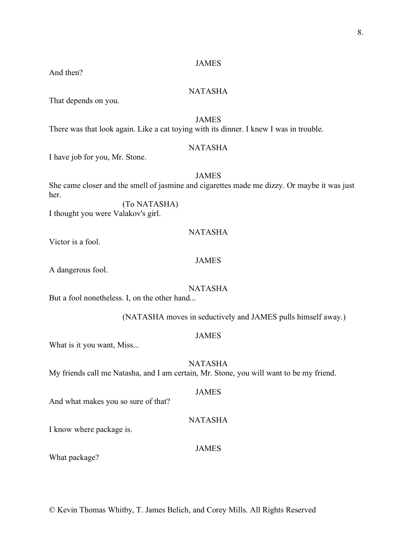And then?

# NATASHA

That depends on you.

# JAMES

There was that look again. Like a cat toying with its dinner. I knew I was in trouble.

# NATASHA

I have job for you, Mr. Stone.

# JAMES

She came closer and the smell of jasmine and cigarettes made me dizzy. Or maybe it was just her.

(To NATASHA) I thought you were Valakov's girl.

# NATASHA

Victor is a fool.

# JAMES

A dangerous fool.

# NATASHA

But a fool nonetheless. I, on the other hand...

(NATASHA moves in seductively and JAMES pulls himself away.)

#### JAMES

What is it you want, Miss...

NATASHA My friends call me Natasha, and I am certain, Mr. Stone, you will want to be my friend.

#### JAMES

And what makes you so sure of that?

# NATASHA

I know where package is.

# JAMES

What package?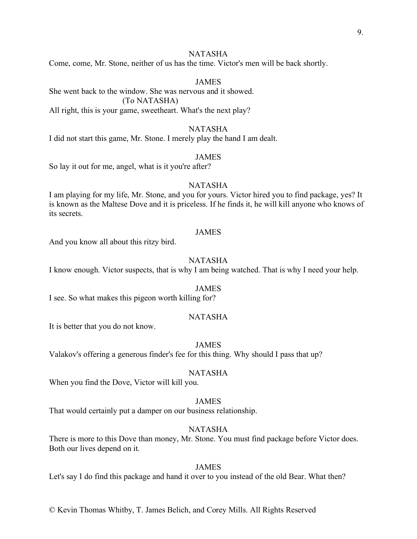# NATASHA

Come, come, Mr. Stone, neither of us has the time. Victor's men will be back shortly.

# JAMES

She went back to the window. She was nervous and it showed. (To NATASHA) All right, this is your game, sweetheart. What's the next play?

#### NATASHA

I did not start this game, Mr. Stone. I merely play the hand I am dealt.

#### JAMES

So lay it out for me, angel, what is it you're after?

#### NATASHA

I am playing for my life, Mr. Stone, and you for yours. Victor hired you to find package, yes? It is known as the Maltese Dove and it is priceless. If he finds it, he will kill anyone who knows of its secrets.

#### JAMES

And you know all about this ritzy bird.

## NATASHA

I know enough. Victor suspects, that is why I am being watched. That is why I need your help.

#### JAMES

I see. So what makes this pigeon worth killing for?

#### NATASHA

It is better that you do not know.

#### JAMES

Valakov's offering a generous finder's fee for this thing. Why should I pass that up?

#### NATASHA

When you find the Dove, Victor will kill you.

#### JAMES

That would certainly put a damper on our business relationship.

#### NATASHA

There is more to this Dove than money, Mr. Stone. You must find package before Victor does. Both our lives depend on it.

#### JAMES

Let's say I do find this package and hand it over to you instead of the old Bear. What then?

#### © Kevin Thomas Whitby, T. James Belich, and Corey Mills. All Rights Reserved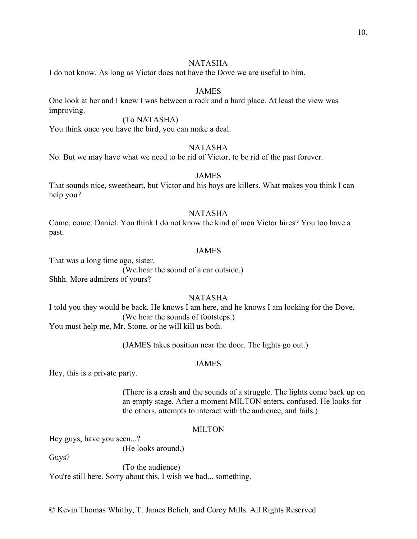# NATASHA

I do not know. As long as Victor does not have the Dove we are useful to him.

# JAMES

One look at her and I knew I was between a rock and a hard place. At least the view was improving.

# (To NATASHA)

You think once you have the bird, you can make a deal.

# NATASHA

No. But we may have what we need to be rid of Victor, to be rid of the past forever.

### JAMES

That sounds nice, sweetheart, but Victor and his boys are killers. What makes you think I can help you?

#### NATASHA

Come, come, Daniel. You think I do not know the kind of men Victor hires? You too have a past.

#### JAMES

That was a long time ago, sister. (We hear the sound of a car outside.) Shhh. More admirers of yours?

#### NATASHA

I told you they would be back. He knows I am here, and he knows I am looking for the Dove. (We hear the sounds of footsteps.) You must help me, Mr. Stone, or he will kill us both.

(JAMES takes position near the door. The lights go out.)

# JAMES

Hey, this is a private party.

(There is a crash and the sounds of a struggle. The lights come back up on an empty stage. After a moment MILTON enters, confused. He looks for the others, attempts to interact with the audience, and fails.)

#### MILTON

Hey guys, have you seen...?

(He looks around.)

Guys?

(To the audience) You're still here. Sorry about this. I wish we had... something.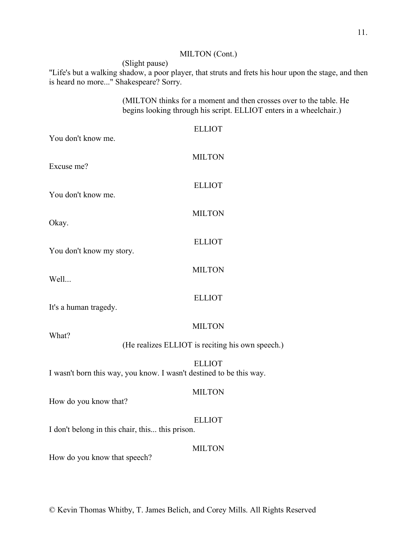# MILTON (Cont.)

(Slight pause) "Life's but a walking shadow, a poor player, that struts and frets his hour upon the stage, and then is heard no more..." Shakespeare? Sorry.

> (MILTON thinks for a moment and then crosses over to the table. He begins looking through his script. ELLIOT enters in a wheelchair.)

| You don't know me.                                                  | <b>ELLIOT</b>                                    |
|---------------------------------------------------------------------|--------------------------------------------------|
| Excuse me?                                                          | <b>MILTON</b>                                    |
| You don't know me.                                                  | <b>ELLIOT</b>                                    |
| Okay.                                                               | <b>MILTON</b>                                    |
| You don't know my story.                                            | <b>ELLIOT</b>                                    |
| Well                                                                | <b>MILTON</b>                                    |
| It's a human tragedy.                                               | <b>ELLIOT</b>                                    |
| What?                                                               | <b>MILTON</b>                                    |
|                                                                     | (He realizes ELLIOT is reciting his own speech.) |
| I wasn't born this way, you know. I wasn't destined to be this way. | <b>ELLIOT</b>                                    |
| How do you know that?                                               | <b>MILTON</b>                                    |
| I don't belong in this chair, this this prison.                     | <b>ELLIOT</b>                                    |
| How do you know that speech?                                        | <b>MILTON</b>                                    |
|                                                                     |                                                  |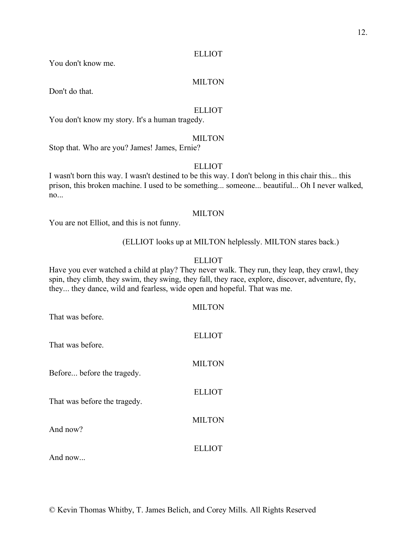#### ELLIOT

You don't know me.

#### MILTON

Don't do that.

# ELLIOT

You don't know my story. It's a human tragedy.

#### MILTON

Stop that. Who are you? James! James, Ernie?

# ELLIOT

I wasn't born this way. I wasn't destined to be this way. I don't belong in this chair this... this prison, this broken machine. I used to be something... someone... beautiful... Oh I never walked, no...

# MILTON

You are not Elliot, and this is not funny.

#### (ELLIOT looks up at MILTON helplessly. MILTON stares back.)

#### ELLIOT

Have you ever watched a child at play? They never walk. They run, they leap, they crawl, they spin, they climb, they swim, they swing, they fall, they race, explore, discover, adventure, fly, they... they dance, wild and fearless, wide open and hopeful. That was me.

| That was before.             | <b>MILTON</b> |
|------------------------------|---------------|
| That was before.             | <b>ELLIOT</b> |
| Before before the tragedy.   | <b>MILTON</b> |
| That was before the tragedy. | <b>ELLIOT</b> |
| And now?                     | <b>MILTON</b> |
| And now                      | ELLIOT        |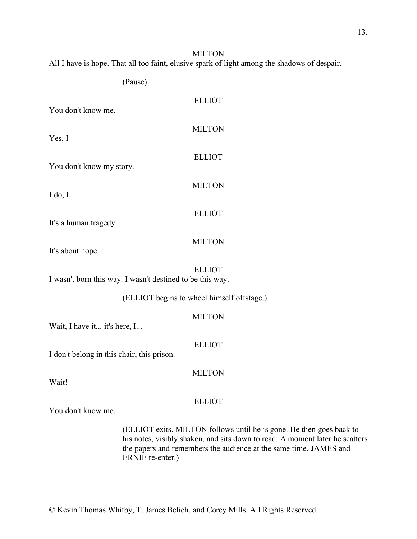MILTON All I have is hope. That all too faint, elusive spark of light among the shadows of despair.

(Pause)

| You don't know me.                                        | <b>ELLIOT</b>                              |
|-----------------------------------------------------------|--------------------------------------------|
| $Yes, I$ —                                                | <b>MILTON</b>                              |
|                                                           | <b>ELLIOT</b>                              |
| You don't know my story.                                  | <b>MILTON</b>                              |
| $I$ do, $I$ —                                             | <b>ELLIOT</b>                              |
| It's a human tragedy.                                     |                                            |
| It's about hope.                                          | <b>MILTON</b>                              |
| I wasn't born this way. I wasn't destined to be this way. | <b>ELLIOT</b>                              |
|                                                           | (ELLIOT begins to wheel himself offstage.) |
| Wait, I have it it's here, I                              | <b>MILTON</b>                              |

ELLIOT

I don't belong in this chair, this prison.

MILTON

Wait!

ELLIOT

You don't know me.

(ELLIOT exits. MILTON follows until he is gone. He then goes back to his notes, visibly shaken, and sits down to read. A moment later he scatters the papers and remembers the audience at the same time. JAMES and ERNIE re-enter.)

13.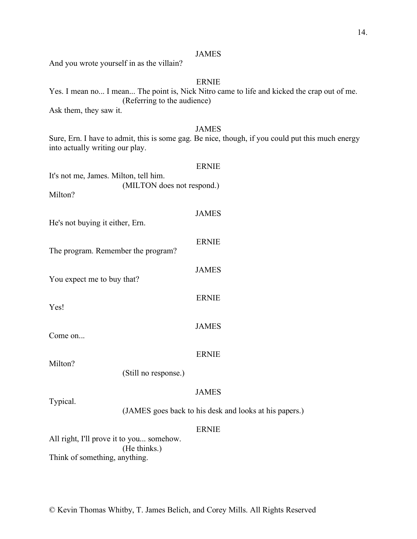And you wrote yourself in as the villain?

# ERNIE

Yes. I mean no... I mean... The point is, Nick Nitro came to life and kicked the crap out of me. (Referring to the audience)

Ask them, they saw it.

# JAMES

Sure, Ern. I have to admit, this is some gag. Be nice, though, if you could put this much energy into actually writing our play.

| It's not me, James. Milton, tell him. |                            | <b>ERNIE</b>                                           |
|---------------------------------------|----------------------------|--------------------------------------------------------|
| Milton?                               | (MILTON does not respond.) |                                                        |
| He's not buying it either, Ern.       |                            | <b>JAMES</b>                                           |
| The program. Remember the program?    |                            | <b>ERNIE</b>                                           |
| You expect me to buy that?            |                            | <b>JAMES</b>                                           |
| Yes!                                  |                            | <b>ERNIE</b>                                           |
| Come on                               |                            | <b>JAMES</b>                                           |
| Milton?                               |                            | <b>ERNIE</b>                                           |
|                                       | (Still no response.)       |                                                        |
| Typical.                              |                            | <b>JAMES</b>                                           |
|                                       |                            | (JAMES goes back to his desk and looks at his papers.) |
|                                       |                            | ERNIE                                                  |

All right, I'll prove it to you... somehow. (He thinks.) Think of something, anything.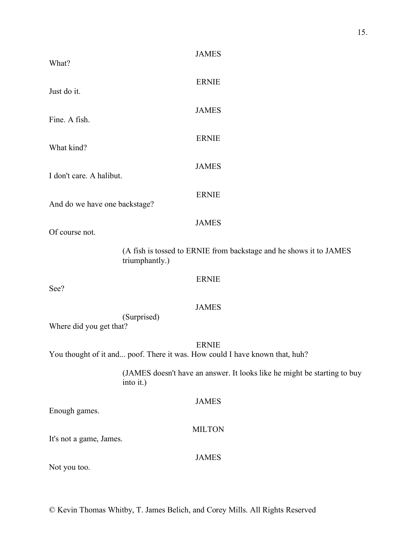| What?                         | <b>JAMES</b>                                                                                |
|-------------------------------|---------------------------------------------------------------------------------------------|
| Just do it.                   | <b>ERNIE</b>                                                                                |
| Fine. A fish.                 | <b>JAMES</b>                                                                                |
| What kind?                    | <b>ERNIE</b>                                                                                |
| I don't care. A halibut.      | <b>JAMES</b>                                                                                |
| And do we have one backstage? | <b>ERNIE</b>                                                                                |
| Of course not.                | <b>JAMES</b>                                                                                |
|                               | (A fish is tossed to ERNIE from backstage and he shows it to JAMES<br>triumphantly.)        |
| See?                          | <b>ERNIE</b>                                                                                |
| Where did you get that?       | <b>JAMES</b><br>(Surprised)                                                                 |
|                               | <b>ERNIE</b><br>You thought of it and poof. There it was. How could I have known that, huh? |
|                               | (JAMES doesn't have an answer. It looks like he might be starting to buy<br>into it.)       |
| Enough games.                 | <b>JAMES</b>                                                                                |
| It's not a game, James.       | <b>MILTON</b>                                                                               |
|                               | <b>JAMES</b>                                                                                |

Not you too.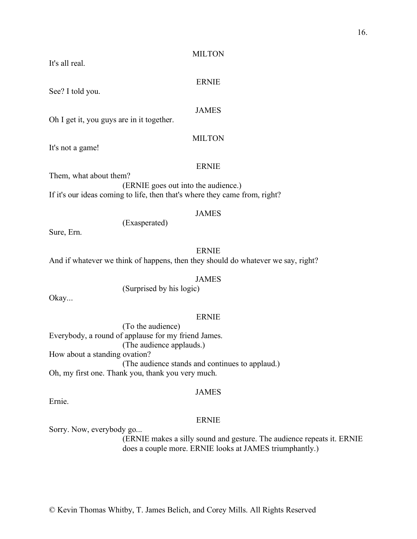© Kevin Thomas Whitby, T. James Belich, and Corey Mills. All Rights Reserved

#### MILTON

#### ERNIE

#### JAMES

Oh I get it, you guys are in it together.

#### MILTON

It's not a game!

See? I told you.

It's all real.

#### ERNIE

Them, what about them? (ERNIE goes out into the audience.) If it's our ideas coming to life, then that's where they came from, right?

#### JAMES

(Exasperated)

Sure, Ern.

# ERNIE

And if whatever we think of happens, then they should do whatever we say, right?

#### JAMES

(Surprised by his logic)

Okay...

Ernie.

#### ERNIE

(To the audience) Everybody, a round of applause for my friend James. (The audience applauds.) How about a standing ovation? (The audience stands and continues to applaud.) Oh, my first one. Thank you, thank you very much.

#### JAMES

ERNIE

Sorry. Now, everybody go...

(ERNIE makes a silly sound and gesture. The audience repeats it. ERNIE does a couple more. ERNIE looks at JAMES triumphantly.)